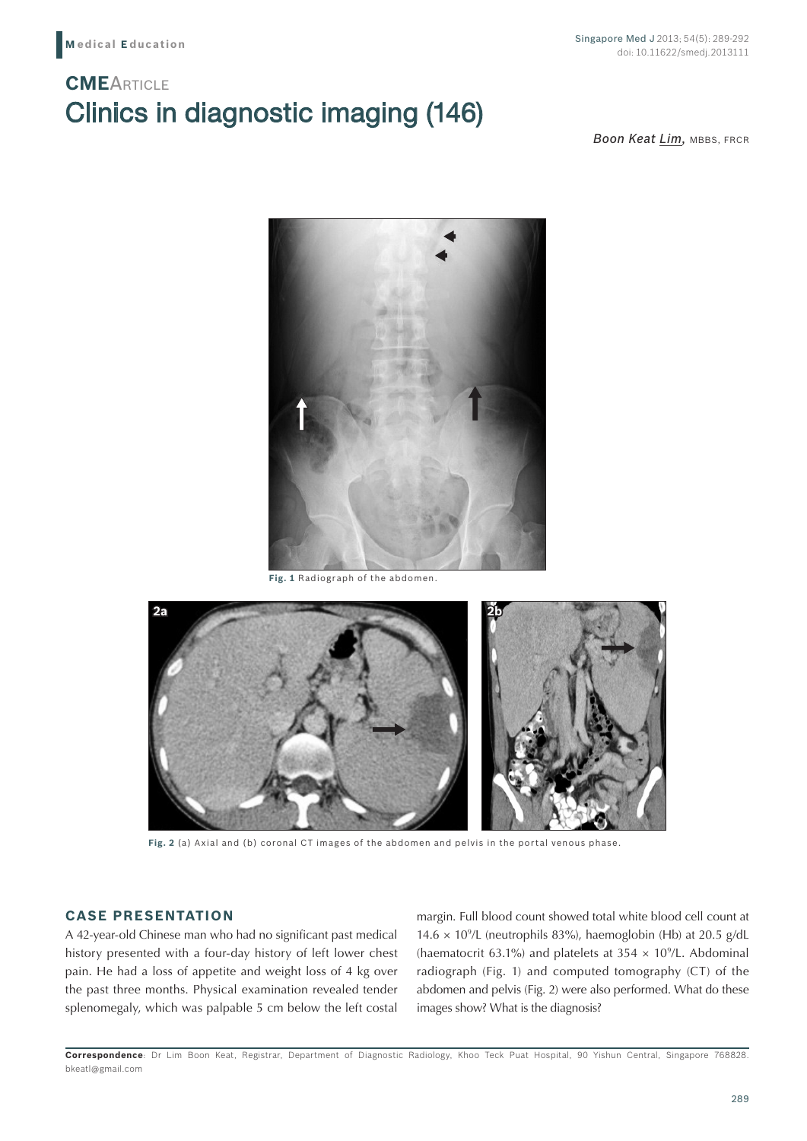# Clinics in diagnostic imaging (146) **CME**ARTICLE

**Boon Keat Lim, MBBS, FRCR** 



**Fig. 1** Radiograph of the abdomen.



**Fig. 2** (a) Axial and (b) coronal CT images of the abdomen and pelvis in the portal venous phase.

## **CASE PRESENTATION**

A 42-year-old Chinese man who had no significant past medical history presented with a four-day history of left lower chest pain. He had a loss of appetite and weight loss of 4 kg over the past three months. Physical examination revealed tender splenomegaly, which was palpable 5 cm below the left costal margin. Full blood count showed total white blood cell count at  $14.6 \times 10^9$ /L (neutrophils 83%), haemoglobin (Hb) at 20.5 g/dL (haematocrit 63.1%) and platelets at 354  $\times$  10<sup>9</sup>/L. Abdominal radiograph (Fig. 1) and computed tomography (CT) of the abdomen and pelvis (Fig. 2) were also performed. What do these images show? What is the diagnosis?

**Correspondence**: Dr Lim Boon Keat, Registrar, Department of Diagnostic Radiology, Khoo Teck Puat Hospital, 90 Yishun Central, Singapore 768828. bkeatl@gmail.com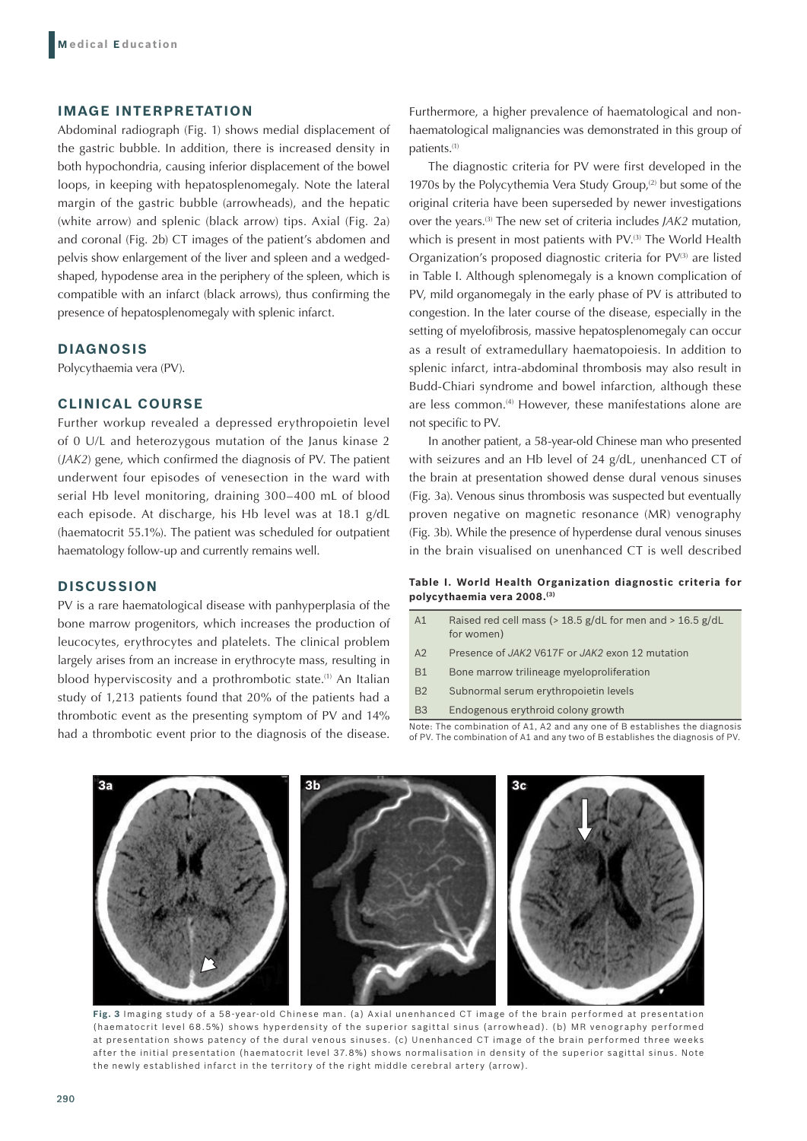## **IMAGE INTERPRETATION**

Abdominal radiograph (Fig. 1) shows medial displacement of the gastric bubble. In addition, there is increased density in both hypochondria, causing inferior displacement of the bowel loops, in keeping with hepatosplenomegaly. Note the lateral margin of the gastric bubble (arrowheads), and the hepatic (white arrow) and splenic (black arrow) tips. Axial (Fig. 2a) and coronal (Fig. 2b) CT images of the patient's abdomen and pelvis show enlargement of the liver and spleen and a wedgedshaped, hypodense area in the periphery of the spleen, which is compatible with an infarct (black arrows), thus confirming the presence of hepatosplenomegaly with splenic infarct.

## **DIAGNOSIS**

Polycythaemia vera (PV).

### **CLINICAL COURSE**

Further workup revealed a depressed erythropoietin level of 0 U/L and heterozygous mutation of the Janus kinase 2 (*JAK2*) gene, which confirmed the diagnosis of PV. The patient underwent four episodes of venesection in the ward with serial Hb level monitoring, draining 300–400 mL of blood each episode. At discharge, his Hb level was at 18.1 g/dL (haematocrit 55.1%). The patient was scheduled for outpatient haematology follow-up and currently remains well.

## **DISCUSSION**

PV is a rare haematological disease with panhyperplasia of the bone marrow progenitors, which increases the production of leucocytes, erythrocytes and platelets. The clinical problem largely arises from an increase in erythrocyte mass, resulting in blood hyperviscosity and a prothrombotic state.<sup>(1)</sup> An Italian study of 1,213 patients found that 20% of the patients had a thrombotic event as the presenting symptom of PV and 14% had a thrombotic event prior to the diagnosis of the disease.

Furthermore, a higher prevalence of haematological and nonhaematological malignancies was demonstrated in this group of patients.(1)

The diagnostic criteria for PV were first developed in the 1970s by the Polycythemia Vera Study Group, $(2)$  but some of the original criteria have been superseded by newer investigations over the years.(3) The new set of criteria includes *JAK2* mutation, which is present in most patients with PV.<sup>(3)</sup> The World Health Organization's proposed diagnostic criteria for PV<sup>(3)</sup> are listed in Table I. Although splenomegaly is a known complication of PV, mild organomegaly in the early phase of PV is attributed to congestion. In the later course of the disease, especially in the setting of myelofibrosis, massive hepatosplenomegaly can occur as a result of extramedullary haematopoiesis. In addition to splenic infarct, intra-abdominal thrombosis may also result in Budd-Chiari syndrome and bowel infarction, although these are less common.<sup>(4)</sup> However, these manifestations alone are not specific to PV.

In another patient, a 58-year-old Chinese man who presented with seizures and an Hb level of 24 g/dL, unenhanced CT of the brain at presentation showed dense dural venous sinuses (Fig. 3a). Venous sinus thrombosis was suspected but eventually proven negative on magnetic resonance (MR) venography (Fig. 3b). While the presence of hyperdense dural venous sinuses in the brain visualised on unenhanced CT is well described

#### **Table I. World Health Organization diagnostic criteria for polycythaemia vera 2008.(3)**

| A1        | Raised red cell mass ( $>$ 18.5 g/dL for men and $>$ 16.5 g/dL<br>for women)                                                                                 |
|-----------|--------------------------------------------------------------------------------------------------------------------------------------------------------------|
| A2        | Presence of JAK2 V617F or JAK2 exon 12 mutation                                                                                                              |
| <b>B1</b> | Bone marrow trilineage myeloproliferation                                                                                                                    |
| <b>B2</b> | Subnormal serum erythropoietin levels                                                                                                                        |
| <b>B3</b> | Endogenous erythroid colony growth                                                                                                                           |
|           | Note: The combination of A1, A2 and any one of B establishes the diagnosis<br>of PV. The combination of A1 and any two of B establishes the diagnosis of PV. |



**Fig. 3** Imaging study of a 58-year-old Chinese man. (a) Axial unenhanced CT image of the brain performed at presentation (haematocrit level 68.5%) shows hyperdensity of the superior sagittal sinus (arrowhead). (b) MR venography performed at presentation shows patency of the dural venous sinuses. (c) Unenhanced CT image of the brain performed three weeks after the initial presentation (haematocrit level 37.8%) shows normalisation in density of the superior sagittal sinus. Note the newly established infarct in the territory of the right middle cerebral artery (arrow).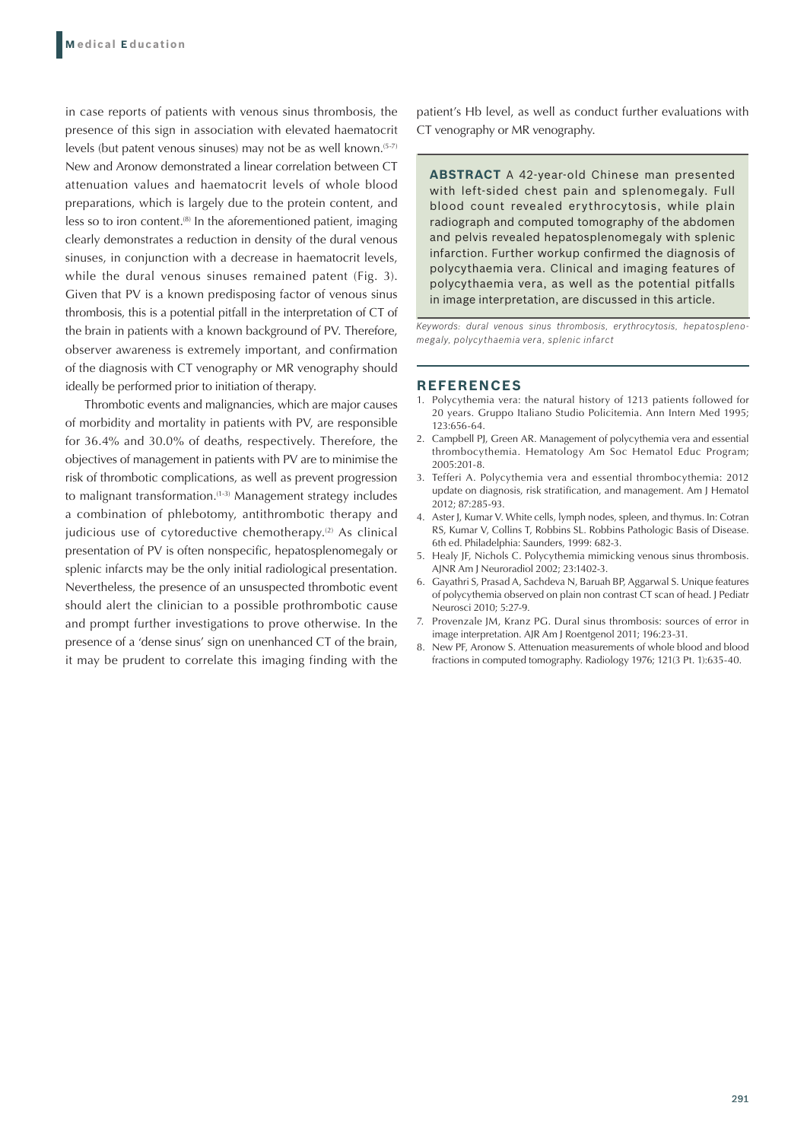in case reports of patients with venous sinus thrombosis, the presence of this sign in association with elevated haematocrit levels (but patent venous sinuses) may not be as well known.<sup>(5-7)</sup> New and Aronow demonstrated a linear correlation between CT attenuation values and haematocrit levels of whole blood preparations, which is largely due to the protein content, and less so to iron content. $(8)$  In the aforementioned patient, imaging clearly demonstrates a reduction in density of the dural venous sinuses, in conjunction with a decrease in haematocrit levels, while the dural venous sinuses remained patent (Fig. 3). Given that PV is a known predisposing factor of venous sinus thrombosis, this is a potential pitfall in the interpretation of CT of the brain in patients with a known background of PV. Therefore, observer awareness is extremely important, and confirmation of the diagnosis with CT venography or MR venography should ideally be performed prior to initiation of therapy.

Thrombotic events and malignancies, which are major causes of morbidity and mortality in patients with PV, are responsible for 36.4% and 30.0% of deaths, respectively. Therefore, the objectives of management in patients with PV are to minimise the risk of thrombotic complications, as well as prevent progression to malignant transformation.<sup>(1-3)</sup> Management strategy includes a combination of phlebotomy, antithrombotic therapy and judicious use of cytoreductive chemotherapy.<sup>(2)</sup> As clinical presentation of PV is often nonspecific, hepatosplenomegaly or splenic infarcts may be the only initial radiological presentation. Nevertheless, the presence of an unsuspected thrombotic event should alert the clinician to a possible prothrombotic cause and prompt further investigations to prove otherwise. In the presence of a 'dense sinus' sign on unenhanced CT of the brain, it may be prudent to correlate this imaging finding with the

patient's Hb level, as well as conduct further evaluations with CT venography or MR venography.

**ABSTRACT** A 42-year-old Chinese man presented with left-sided chest pain and splenomegaly. Full blood count revealed erythrocytosis, while plain radiograph and computed tomography of the abdomen and pelvis revealed hepatosplenomegaly with splenic infarction. Further workup confirmed the diagnosis of polycythaemia vera. Clinical and imaging features of polycythaemia vera, as well as the potential pitfalls in image interpretation, are discussed in this article.

*Keywords: dural venous sinus thrombosis, erythrocytosis, hepatosplenomegaly, polycythaemia vera, splenic infarct*

#### **REFERENCES**

- 1. Polycythemia vera: the natural history of 1213 patients followed for 20 years. Gruppo Italiano Studio Policitemia. Ann Intern Med 1995; 123:656-64.
- 2. Campbell PJ, Green AR. Management of polycythemia vera and essential thrombocythemia. Hematology Am Soc Hematol Educ Program; 2005:201-8.
- 3. Tefferi A. Polycythemia vera and essential thrombocythemia: 2012 update on diagnosis, risk stratification, and management. Am J Hematol 2012; 87:285-93.
- 4. Aster J, Kumar V. White cells, lymph nodes, spleen, and thymus. In: Cotran RS, Kumar V, Collins T, Robbins SL. Robbins Pathologic Basis of Disease. 6th ed. Philadelphia: Saunders, 1999: 682-3.
- 5. Healy JF, Nichols C. Polycythemia mimicking venous sinus thrombosis. AJNR Am J Neuroradiol 2002; 23:1402-3.
- 6. Gayathri S, Prasad A, Sachdeva N, Baruah BP, Aggarwal S. Unique features of polycythemia observed on plain non contrast CT scan of head. J Pediatr Neurosci 2010; 5:27-9.
- 7. Provenzale JM, Kranz PG. Dural sinus thrombosis: sources of error in image interpretation. AJR Am J Roentgenol 2011; 196:23-31.
- 8. New PF, Aronow S. Attenuation measurements of whole blood and blood fractions in computed tomography. Radiology 1976; 121(3 Pt. 1):635-40.